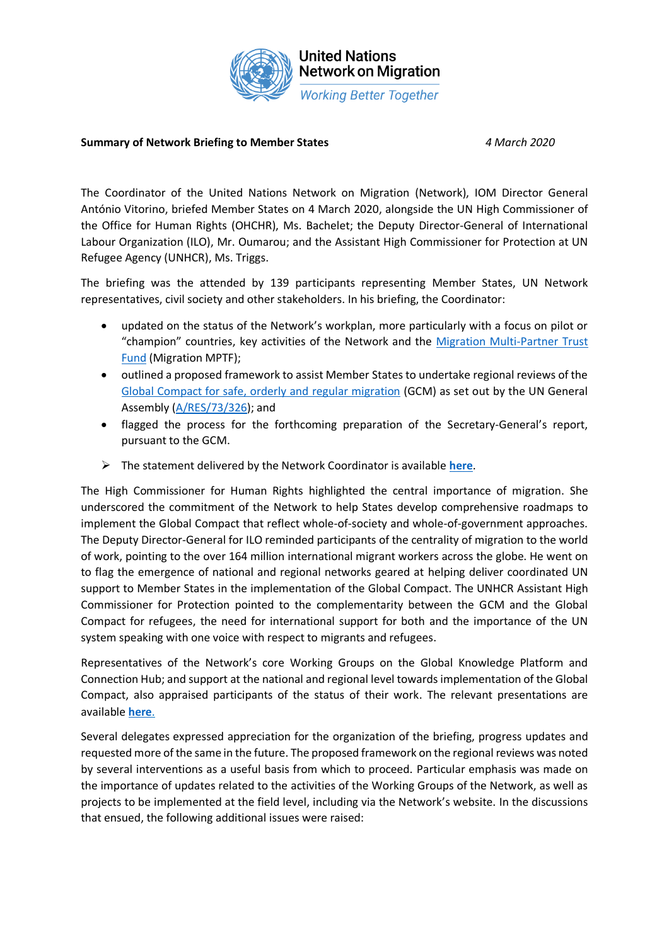

## **United Nations Network on Migration Working Better Together**

## **Summary of Network Briefing to Member States** *4 March 2020*

The Coordinator of the United Nations Network on Migration (Network), IOM Director General António Vitorino, briefed Member States on 4 March 2020, alongside the UN High Commissioner of the Office for Human Rights (OHCHR), Ms. Bachelet; the Deputy Director-General of International Labour Organization (ILO), Mr. Oumarou; and the Assistant High Commissioner for Protection at UN Refugee Agency (UNHCR), Ms. Triggs.

The briefing was the attended by 139 participants representing Member States, UN Network representatives, civil society and other stakeholders. In his briefing, the Coordinator:

- updated on the status of the Network's workplan, more particularly with a focus on pilot or "champion" countries, key activities of the Network and the [Migration Multi-Partner Trust](http://mptf.undp.org/factsheet/fund/MIG00)  [Fund](http://mptf.undp.org/factsheet/fund/MIG00) (Migration MPTF);
- outlined a proposed framework to assist Member States to undertake regional reviews of the [Global Compact for safe, orderly and regular migration](http://migrationnetwork.un.org/sites/default/files/docs/gcm-n1845199.pdf) (GCM) as set out by the UN General Assembly [\(A/RES/73/326\)](http://migrationnetwork.un.org/sites/default/files/docs/a_res_73_326_0.pdf); and
- flagged the process for the forthcoming preparation of the Secretary-General's report, pursuant to the GCM.
- ➢ The statement delivered by the Network Coordinator is available **[here](http://migrationnetwork.un.org/coordinators-briefing-4-march-2020)**.

The High Commissioner for Human Rights highlighted the central importance of migration. She underscored the commitment of the Network to help States develop comprehensive roadmaps to implement the Global Compact that reflect whole-of-society and whole-of-government approaches. The Deputy Director-General for ILO reminded participants of the centrality of migration to the world of work, pointing to the over 164 million international migrant workers across the globe. He went on to flag the emergence of national and regional networks geared at helping deliver coordinated UN support to Member States in the implementation of the Global Compact. The UNHCR Assistant High Commissioner for Protection pointed to the complementarity between the GCM and the Global Compact for refugees, the need for international support for both and the importance of the UN system speaking with one voice with respect to migrants and refugees.

Representatives of the Network's core Working Groups on the Global Knowledge Platform and Connection Hub; and support at the national and regional level towards implementation of the Global Compact, also appraised participants of the status of their work. The relevant presentations are available **[here](https://migrationnetwork.un.org/events/03-2020/briefing-member-states)**.

Several delegates expressed appreciation for the organization of the briefing, progress updates and requested more of the same in the future. The proposed framework on the regional reviews was noted by several interventions as a useful basis from which to proceed. Particular emphasis was made on the importance of updates related to the activities of the Working Groups of the Network, as well as projects to be implemented at the field level, including via the Network's website. In the discussions that ensued, the following additional issues were raised: